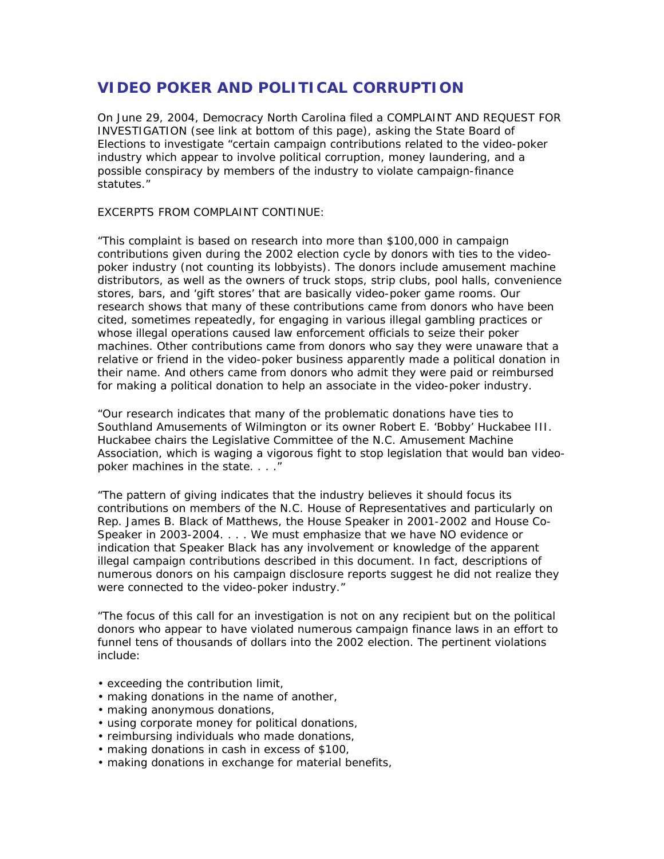## **VIDEO POKER AND POLITICAL CORRUPTION**

On June 29, 2004, Democracy North Carolina filed a COMPLAINT AND REQUEST FOR INVESTIGATION (see link at bottom of this page), asking the State Board of Elections to investigate "certain campaign contributions related to the video-poker industry which appear to involve political corruption, money laundering, and a possible conspiracy by members of the industry to violate campaign-finance statutes."

## *EXCERPTS FROM COMPLAINT CONTINUE:*

"This complaint is based on research into more than \$100,000 in campaign contributions given during the 2002 election cycle by donors with ties to the videopoker industry (not counting its lobbyists). The donors include amusement machine distributors, as well as the owners of truck stops, strip clubs, pool halls, convenience stores, bars, and 'gift stores' that are basically video-poker game rooms. Our research shows that many of these contributions came from donors who have been cited, sometimes repeatedly, for engaging in various illegal gambling practices or whose illegal operations caused law enforcement officials to seize their poker machines. Other contributions came from donors who say they were unaware that a relative or friend in the video-poker business apparently made a political donation in their name. And others came from donors who admit they were paid or reimbursed for making a political donation to help an associate in the video-poker industry.

"Our research indicates that many of the problematic donations have ties to Southland Amusements of Wilmington or its owner Robert E. 'Bobby' Huckabee III. Huckabee chairs the Legislative Committee of the N.C. Amusement Machine Association, which is waging a vigorous fight to stop legislation that would ban videopoker machines in the state. . . . "

"The pattern of giving indicates that the industry believes it should focus its contributions on members of the N.C. House of Representatives and particularly on Rep. James B. Black of Matthews, the House Speaker in 2001-2002 and House Co-Speaker in 2003-2004. . . . We must emphasize that we have NO evidence or indication that Speaker Black has any involvement or knowledge of the apparent illegal campaign contributions described in this document. In fact, descriptions of numerous donors on his campaign disclosure reports suggest he did not realize they were connected to the video-poker industry."

"The focus of this call for an investigation is not on any recipient but on the political donors who appear to have violated numerous campaign finance laws in an effort to funnel tens of thousands of dollars into the 2002 election. The pertinent violations include:

- exceeding the contribution limit,
- making donations in the name of another,
- making anonymous donations,
- using corporate money for political donations,
- reimbursing individuals who made donations,
- making donations in cash in excess of \$100,
- making donations in exchange for material benefits,